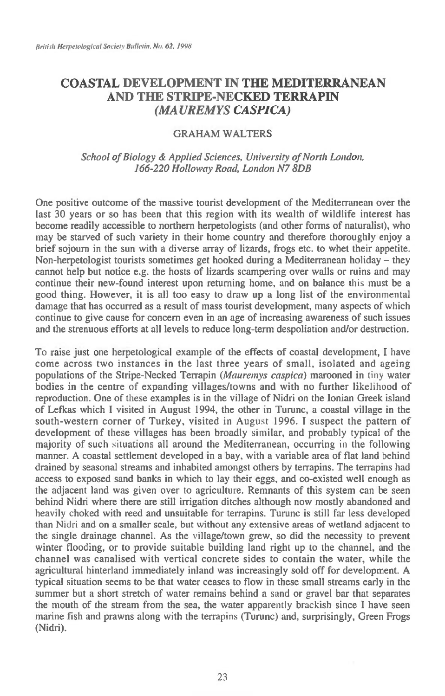## **COASTAL DEVELOPMENT IN THE MEDITERRANEAN AND THE STRIPE-NECKED TERRAPIN**  *(MA UREMYS CASPICA)*

## **GRAHAM WALTERS**

## School of Biology & Applied Sciences, University of North London, 166-220 Holloway Road, London N7 **8DB**

**One positive outcome of the massive tourist development of the Mediterranean over the last 30 years or so has been that this region with its wealth of wildlife interest has become readily accessible to northern herpetologists (and other forms of naturalist), who may be starved of such variety in their home country and therefore thoroughly enjoy a brief sojourn in the sun with a diverse array of lizards, frogs etc. to whet their appetite. Non-herpetologist tourists sometimes get hooked during a Mediterranean holiday — they cannot help but notice e.g. the hosts of lizards scampering over walls or ruins and may continue their new-found interest upon returning home, and on balance this must be a good thing. However, it is all too easy to draw up a long list of the environmental damage that has occurred as a result of mass tourist development, many aspects of which continue to give cause for concern even in an age of increasing awareness of such issues and the strenuous efforts at all levels to reduce long-term despoliation and/or destruction.** 

**To raise just one herpetological example of the effects of coastal development, I have come across two instances in the last three years of small, isolated and ageing populations of the Stripe-Necked Terrapin** (Mauremys caspica) **marooned in** tiny **water bodies in the** centre of **expanding villages/towns and with no further likelihood of reproduction. One** of these **examples is in the village of Nidri on the Ionian Greek island of Lefkas which I visited in August 1994, the other in Turunc, a coastal village in the south-western corner of Turkey, visited** in August 1996. I **suspect the pattern of development of these villages has been broadly** similar, and probably typical of the majority of such situations **all around the Mediterranean,** occurring in the following manner. A coastal settlement developed in a bay, with a variable area of flat land behind drained by seasonal streams and inhabited amongst others by terrapins. The terrapins had access to exposed sand banks in which to lay their **eggs, and co-existed well enough as the adjacent land was given over** to agriculture. **Remnants of this system can be seen behind Nidri where there are still irrigation ditches although now mostly abandoned and heavily choked with reed and unsuitable for terrapins. Turunc is still far less developed**  than Nidri **and on a smaller scale, but without any extensive areas of wetland adjacent to the single drainage channel. As the village/town grew, so did the necessity to prevent winter flooding, or to provide suitable building land right up to the channel, and the channel was canalised with vertical concrete sides to contain the water, while the agricultural hinterland immediately inland was increasingly sold off for development. A typical situation seems to be that water ceases to flow in these small streams early in the summer but a short stretch of water remains behind** a sand or gravel bar that separates the mouth of the stream from the sea, the water apparently brackish since I have seen marine fish and prawns along with the terrapins (Turunc) and, surprisingly, Green Frogs (Nidri).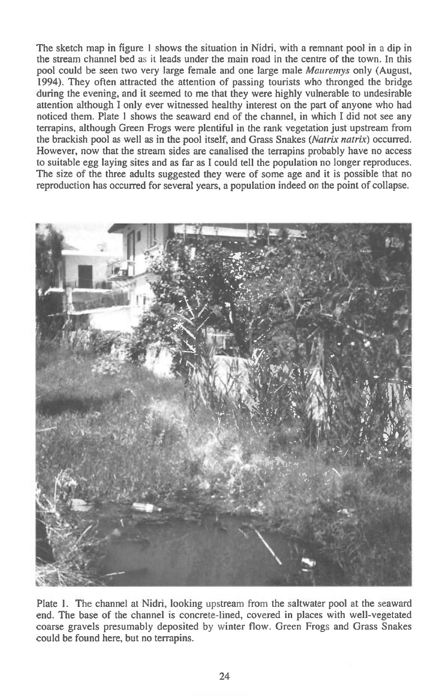The sketch map in figure 1 shows the situation in Nidri, with a remnant pool in a dip in the stream channel bed as it leads under the main road in the centre of the town. In this pool could be seen two very large female and one large male *Maaremys* only (August, 1994). They often attracted the attention of passing tourists who thronged the bridge during the evening, and it seemed to me that they were highly vulnerable to undesirable attention although I only ever witnessed healthy interest on the part of anyone who had noticed them. Plate 1 shows the seaward end of the channel, in which I did not see any terrapins, although Green Frogs were plentiful in the rank vegetation just upstream from the brackish pool as well as in the pool itself, and Grass Snakes (Natrix natrix) occurred. However, now that the stream sides are canalised the terrapins probably have no access to suitable egg laying sites and as far as I could tell the population no longer reproduces. The size of the three adults suggested they were of some age and it is possible that no reproduction has occurred for several years, a population indeed on the point of collapse.



Plate 1. The channel at Nidri, looking upstream from the saltwater pool at the seaward end. The base of the channel is concrete-lined, covered in places with well-vegetated coarse gravels presumably deposited by winter flow. Green Frogs and Grass Snakes could be found here, but no terrapins.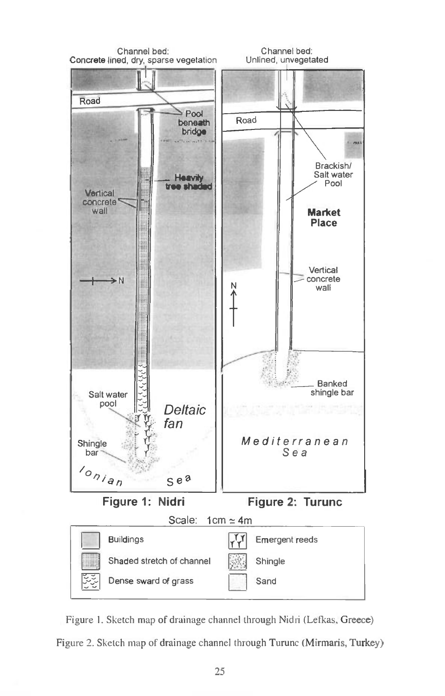

Figure 1. Sketch map of drainage channel through Nidri (Lefkas, Greece) Figure 2. Sketch map of drainage channel through Turunc (Mirmaris, Turkey)